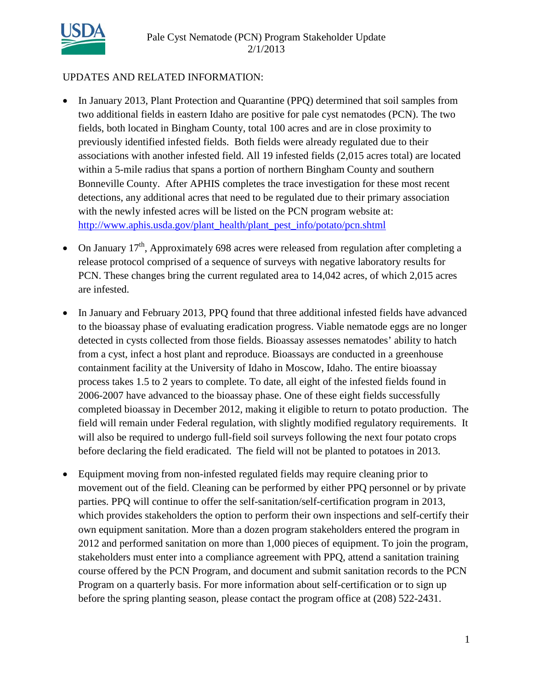

#### UPDATES AND RELATED INFORMATION:

- In January 2013, Plant Protection and Quarantine (PPQ) determined that soil samples from two additional fields in eastern Idaho are positive for pale cyst nematodes (PCN). The two fields, both located in Bingham County, total 100 acres and are in close proximity to previously identified infested fields. Both fields were already regulated due to their associations with another infested field. All 19 infested fields (2,015 acres total) are located within a 5-mile radius that spans a portion of northern Bingham County and southern Bonneville County. After APHIS completes the trace investigation for these most recent detections, any additional acres that need to be regulated due to their primary association with the newly infested acres will be listed on the PCN program website at: [http://www.aphis.usda.gov/plant\\_health/plant\\_pest\\_info/potato/pcn.shtml](http://www.aphis.usda.gov/plant_health/plant_pest_info/potato/pcn.shtml)
- On January  $17<sup>th</sup>$ , Approximately 698 acres were released from regulation after completing a release protocol comprised of a sequence of surveys with negative laboratory results for PCN. These changes bring the current regulated area to 14,042 acres, of which 2,015 acres are infested.
- In January and February 2013, PPQ found that three additional infested fields have advanced to the bioassay phase of evaluating eradication progress. Viable nematode eggs are no longer detected in cysts collected from those fields. Bioassay assesses nematodes' ability to hatch from a cyst, infect a host plant and reproduce. Bioassays are conducted in a greenhouse containment facility at the University of Idaho in Moscow, Idaho. The entire bioassay process takes 1.5 to 2 years to complete. To date, all eight of the infested fields found in 2006-2007 have advanced to the bioassay phase. One of these eight fields successfully completed bioassay in December 2012, making it eligible to return to potato production. The field will remain under Federal regulation, with slightly modified regulatory requirements. It will also be required to undergo full-field soil surveys following the next four potato crops before declaring the field eradicated. The field will not be planted to potatoes in 2013.
- Equipment moving from non-infested regulated fields may require cleaning prior to movement out of the field. Cleaning can be performed by either PPQ personnel or by private parties. PPQ will continue to offer the self-sanitation/self-certification program in 2013, which provides stakeholders the option to perform their own inspections and self-certify their own equipment sanitation. More than a dozen program stakeholders entered the program in 2012 and performed sanitation on more than 1,000 pieces of equipment. To join the program, stakeholders must enter into a compliance agreement with PPQ, attend a sanitation training course offered by the PCN Program, and document and submit sanitation records to the PCN Program on a quarterly basis. For more information about self-certification or to sign up before the spring planting season, please contact the program office at (208) 522-2431.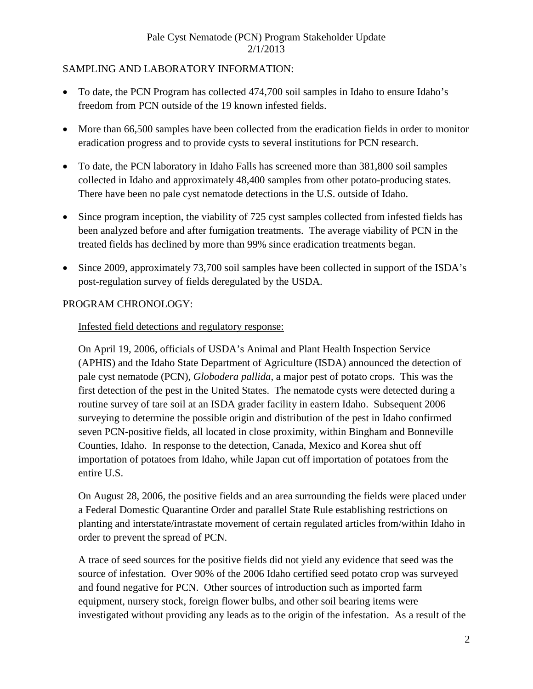## SAMPLING AND LABORATORY INFORMATION:

- To date, the PCN Program has collected 474,700 soil samples in Idaho to ensure Idaho's freedom from PCN outside of the 19 known infested fields.
- More than 66,500 samples have been collected from the eradication fields in order to monitor eradication progress and to provide cysts to several institutions for PCN research.
- To date, the PCN laboratory in Idaho Falls has screened more than 381,800 soil samples collected in Idaho and approximately 48,400 samples from other potato-producing states. There have been no pale cyst nematode detections in the U.S. outside of Idaho.
- Since program inception, the viability of 725 cyst samples collected from infested fields has been analyzed before and after fumigation treatments. The average viability of PCN in the treated fields has declined by more than 99% since eradication treatments began.
- Since 2009, approximately 73,700 soil samples have been collected in support of the ISDA's post-regulation survey of fields deregulated by the USDA.

## PROGRAM CHRONOLOGY:

#### Infested field detections and regulatory response:

On April 19, 2006, officials of USDA's Animal and Plant Health Inspection Service (APHIS) and the Idaho State Department of Agriculture (ISDA) announced the detection of pale cyst nematode (PCN), *Globodera pallida*, a major pest of potato crops. This was the first detection of the pest in the United States. The nematode cysts were detected during a routine survey of tare soil at an ISDA grader facility in eastern Idaho. Subsequent 2006 surveying to determine the possible origin and distribution of the pest in Idaho confirmed seven PCN-positive fields, all located in close proximity, within Bingham and Bonneville Counties, Idaho. In response to the detection, Canada, Mexico and Korea shut off importation of potatoes from Idaho, while Japan cut off importation of potatoes from the entire U.S.

On August 28, 2006, the positive fields and an area surrounding the fields were placed under a Federal Domestic Quarantine Order and parallel State Rule establishing restrictions on planting and interstate/intrastate movement of certain regulated articles from/within Idaho in order to prevent the spread of PCN.

A trace of seed sources for the positive fields did not yield any evidence that seed was the source of infestation. Over 90% of the 2006 Idaho certified seed potato crop was surveyed and found negative for PCN. Other sources of introduction such as imported farm equipment, nursery stock, foreign flower bulbs, and other soil bearing items were investigated without providing any leads as to the origin of the infestation. As a result of the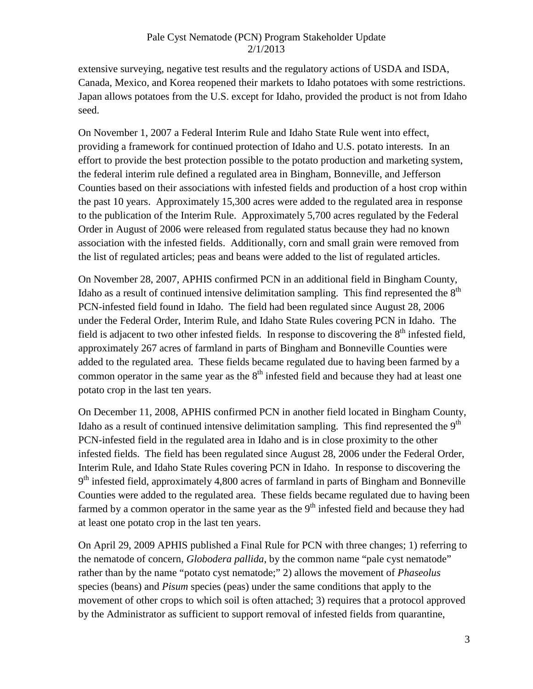extensive surveying, negative test results and the regulatory actions of USDA and ISDA, Canada, Mexico, and Korea reopened their markets to Idaho potatoes with some restrictions. Japan allows potatoes from the U.S. except for Idaho, provided the product is not from Idaho seed.

On November 1, 2007 a Federal Interim Rule and Idaho State Rule went into effect, providing a framework for continued protection of Idaho and U.S. potato interests. In an effort to provide the best protection possible to the potato production and marketing system, the federal interim rule defined a regulated area in Bingham, Bonneville, and Jefferson Counties based on their associations with infested fields and production of a host crop within the past 10 years. Approximately 15,300 acres were added to the regulated area in response to the publication of the Interim Rule. Approximately 5,700 acres regulated by the Federal Order in August of 2006 were released from regulated status because they had no known association with the infested fields. Additionally, corn and small grain were removed from the list of regulated articles; peas and beans were added to the list of regulated articles.

On November 28, 2007, APHIS confirmed PCN in an additional field in Bingham County, Idaho as a result of continued intensive delimitation sampling. This find represented the  $8<sup>th</sup>$ PCN-infested field found in Idaho. The field had been regulated since August 28, 2006 under the Federal Order, Interim Rule, and Idaho State Rules covering PCN in Idaho. The field is adjacent to two other infested fields. In response to discovering the  $8<sup>th</sup>$  infested field, approximately 267 acres of farmland in parts of Bingham and Bonneville Counties were added to the regulated area. These fields became regulated due to having been farmed by a common operator in the same year as the  $8<sup>th</sup>$  infested field and because they had at least one potato crop in the last ten years.

On December 11, 2008, APHIS confirmed PCN in another field located in Bingham County, Idaho as a result of continued intensive delimitation sampling. This find represented the  $9<sup>th</sup>$ PCN-infested field in the regulated area in Idaho and is in close proximity to the other infested fields. The field has been regulated since August 28, 2006 under the Federal Order, Interim Rule, and Idaho State Rules covering PCN in Idaho. In response to discovering the  $9<sup>th</sup>$  infested field, approximately 4,800 acres of farmland in parts of Bingham and Bonneville Counties were added to the regulated area. These fields became regulated due to having been farmed by a common operator in the same year as the  $9<sup>th</sup>$  infested field and because they had at least one potato crop in the last ten years.

On April 29, 2009 APHIS published a Final Rule for PCN with three changes; 1) referring to the nematode of concern, *Globodera pallida*, by the common name "pale cyst nematode" rather than by the name "potato cyst nematode;" 2) allows the movement of *Phaseolus* species (beans) and *Pisum* species (peas) under the same conditions that apply to the movement of other crops to which soil is often attached; 3) requires that a protocol approved by the Administrator as sufficient to support removal of infested fields from quarantine,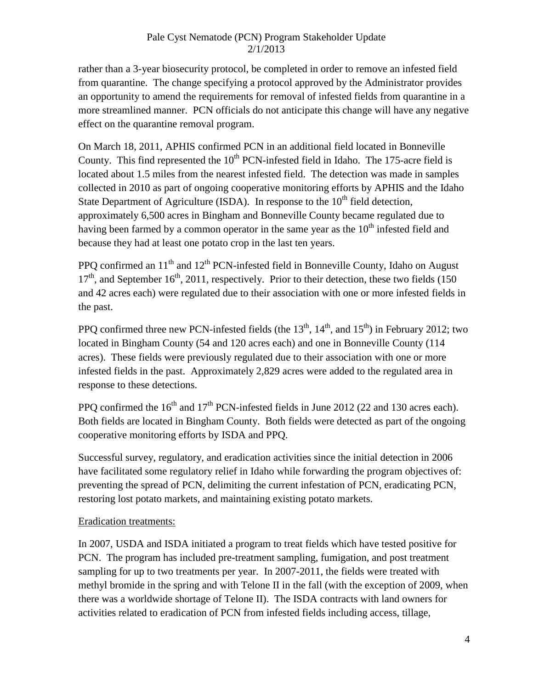rather than a 3-year biosecurity protocol, be completed in order to remove an infested field from quarantine. The change specifying a protocol approved by the Administrator provides an opportunity to amend the requirements for removal of infested fields from quarantine in a more streamlined manner. PCN officials do not anticipate this change will have any negative effect on the quarantine removal program.

On March 18, 2011, APHIS confirmed PCN in an additional field located in Bonneville County. This find represented the  $10<sup>th</sup>$  PCN-infested field in Idaho. The 175-acre field is located about 1.5 miles from the nearest infested field. The detection was made in samples collected in 2010 as part of ongoing cooperative monitoring efforts by APHIS and the Idaho State Department of Agriculture (ISDA). In response to the  $10<sup>th</sup>$  field detection, approximately 6,500 acres in Bingham and Bonneville County became regulated due to having been farmed by a common operator in the same year as the  $10<sup>th</sup>$  infested field and because they had at least one potato crop in the last ten years.

PPO confirmed an  $11<sup>th</sup>$  and  $12<sup>th</sup>$  PCN-infested field in Bonneville County, Idaho on August  $17<sup>th</sup>$ , and September  $16<sup>th</sup>$ , 2011, respectively. Prior to their detection, these two fields (150) and 42 acres each) were regulated due to their association with one or more infested fields in the past.

PPQ confirmed three new PCN-infested fields (the  $13<sup>th</sup>$ ,  $14<sup>th</sup>$ , and  $15<sup>th</sup>$ ) in February 2012; two located in Bingham County (54 and 120 acres each) and one in Bonneville County (114 acres). These fields were previously regulated due to their association with one or more infested fields in the past. Approximately 2,829 acres were added to the regulated area in response to these detections.

PPO confirmed the  $16<sup>th</sup>$  and  $17<sup>th</sup>$  PCN-infested fields in June 2012 (22 and 130 acres each). Both fields are located in Bingham County. Both fields were detected as part of the ongoing cooperative monitoring efforts by ISDA and PPQ.

Successful survey, regulatory, and eradication activities since the initial detection in 2006 have facilitated some regulatory relief in Idaho while forwarding the program objectives of: preventing the spread of PCN, delimiting the current infestation of PCN, eradicating PCN, restoring lost potato markets, and maintaining existing potato markets.

# Eradication treatments:

In 2007, USDA and ISDA initiated a program to treat fields which have tested positive for PCN. The program has included pre-treatment sampling, fumigation, and post treatment sampling for up to two treatments per year. In 2007-2011, the fields were treated with methyl bromide in the spring and with Telone II in the fall (with the exception of 2009, when there was a worldwide shortage of Telone II). The ISDA contracts with land owners for activities related to eradication of PCN from infested fields including access, tillage,